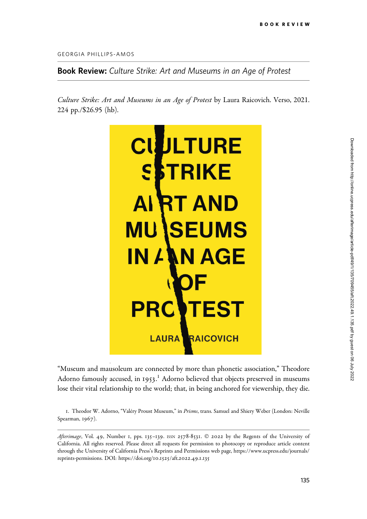GEORGIA PHILLIPS-AMOS

Book Review: Culture Strike: Art and Museums in an Age of Protest

Culture Strike: Art and Museums in an Age of Protest by Laura Raicovich. Verso, 2021. 224 pp./\$26.95 (hb).



"Museum and mausoleum are connected by more than phonetic association," Theodore Adorno famously accused, in 1953.<sup>1</sup> Adorno believed that objects preserved in museums lose their vital relationship to the world; that, in being anchored for viewership, they die.

1. Theodor W. Adorno, "Valéry Proust Museum," in Prisms, trans. Samuel and Shiery Weber (London: Neville Spearman, 1967).

Afterimage, Vol. 49, Number 1, pps. 135-139. ISSN 2578-8531. © 2022 by the Regents of the University of California. All rights reserved. Please direct all requests for permission to photocopy or reproduce article content through the University of California Press's Reprints and Permissions web page, [https://www.ucpress.edu/journals/](https://www.ucpress.edu/journals/reprints-permissions) [reprints-permissions](https://www.ucpress.edu/journals/reprints-permissions). [DOI: https://doi.org/](https://doi.org/10.1525/aft.2022.49.1.135)10.1525/aft.2022.49.1.135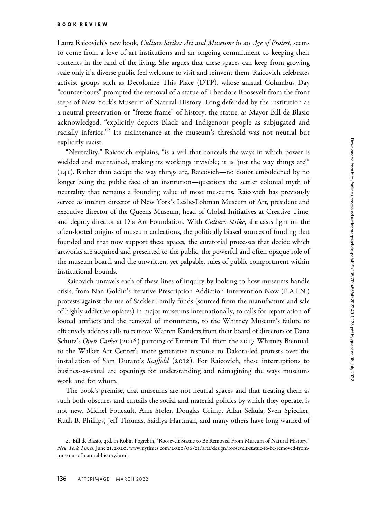Laura Raicovich's new book, Culture Strike: Art and Museums in an Age of Protest, seems to come from a love of art institutions and an ongoing commitment to keeping their contents in the land of the living. She argues that these spaces can keep from growing stale only if a diverse public feel welcome to visit and reinvent them. Raicovich celebrates activist groups such as Decolonize This Place (DTP), whose annual Columbus Day "counter-tours" prompted the removal of a statue of Theodore Roosevelt from the front steps of New York's Museum of Natural History. Long defended by the institution as a neutral preservation or "freeze frame" of history, the statue, as Mayor Bill de Blasio acknowledged, "explicitly depicts Black and Indigenous people as subjugated and racially inferior."<sup>2</sup> Its maintenance at the museum's threshold was not neutral but explicitly racist.

"Neutrality," Raicovich explains, "is a veil that conceals the ways in which power is wielded and maintained, making its workings invisible; it is 'just the way things are'" (141). Rather than accept the way things are, Raicovich—no doubt emboldened by no longer being the public face of an institution—questions the settler colonial myth of neutrality that remains a founding value of most museums. Raicovich has previously served as interim director of New York's Leslie-Lohman Museum of Art, president and executive director of the Queens Museum, head of Global Initiatives at Creative Time, and deputy director at Dia Art Foundation. With Culture Strike, she casts light on the often-looted origins of museum collections, the politically biased sources of funding that founded and that now support these spaces, the curatorial processes that decide which artworks are acquired and presented to the public, the powerful and often opaque role of the museum board, and the unwritten, yet palpable, rules of public comportment within institutional bounds.

Raicovich unravels each of these lines of inquiry by looking to how museums handle crisis, from Nan Goldin's iterative Prescription Addiction Intervention Now (P.A.I.N.) protests against the use of Sackler Family funds (sourced from the manufacture and sale of highly addictive opiates) in major museums internationally, to calls for repatriation of looted artifacts and the removal of monuments, to the Whitney Museum's failure to effectively address calls to remove Warren Kanders from their board of directors or Dana Schutz's Open Casket (2016) painting of Emmett Till from the 2017 Whitney Biennial, to the Walker Art Center's more generative response to Dakota-led protests over the installation of Sam Durant's Scaffold (2012). For Raicovich, these interruptions to business-as-usual are openings for understanding and reimagining the ways museums work and for whom.

The book's premise, that museums are not neutral spaces and that treating them as such both obscures and curtails the social and material politics by which they operate, is not new. Michel Foucault, Ann Stoler, Douglas Crimp, Allan Sekula, Sven Spiecker, Ruth B. Phillips, Jeff Thomas, Saidiya Hartman, and many others have long warned of

<sup>2</sup>. Bill de Blasio, qtd. in Robin Pogrebin, "Roosevelt Statue to Be Removed From Museum of Natural History," New York Times, June 21, 2020, www.nytimes.com/2020/06/21[/arts/design/roosevelt-statue-to-be-removed-from](www.nytimes.com/2020/06/21/arts/design/roosevelt-statue-to-be-removed-from-museum-of-natural-history.html)[museum-of-natural-history.html.](www.nytimes.com/2020/06/21/arts/design/roosevelt-statue-to-be-removed-from-museum-of-natural-history.html)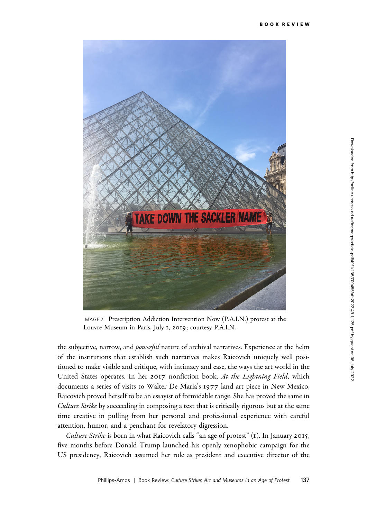

IMAGE 2. Prescription Addiction Intervention Now (P.A.I.N.) protest at the Louvre Museum in Paris, July 1, 2019; courtesy P.A.I.N.

the subjective, narrow, and *powerful* nature of archival narratives. Experience at the helm of the institutions that establish such narratives makes Raicovich uniquely well positioned to make visible and critique, with intimacy and ease, the ways the art world in the United States operates. In her 2017 nonfiction book, At the Lightning Field, which documents a series of visits to Walter De Maria's 1977 land art piece in New Mexico, Raicovich proved herself to be an essayist of formidable range. She has proved the same in Culture Strike by succeeding in composing a text that is critically rigorous but at the same time creative in pulling from her personal and professional experience with careful attention, humor, and a penchant for revelatory digression.

Culture Strike is born in what Raicovich calls "an age of protest" (1). In January 2015, five months before Donald Trump launched his openly xenophobic campaign for the US presidency, Raicovich assumed her role as president and executive director of the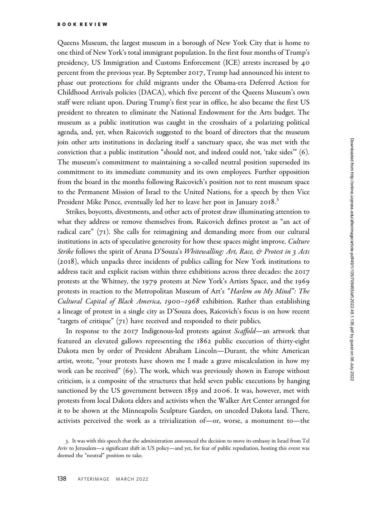Queens Museum, the largest museum in a borough of New York City that is home to one third of New York's total immigrant population. In the first four months of Trump's presidency, US Immigration and Customs Enforcement (ICE) arrests increased by 40 percent from the previous year. By September 2017, Trump had announced his intent to phase out protections for child migrants under the Obama-era Deferred Action for Childhood Arrivals policies (DACA), which five percent of the Queens Museum's own staff were reliant upon. During Trump's first year in office, he also became the first US president to threaten to eliminate the National Endowment for the Arts budget. The museum as a public institution was caught in the crosshairs of a polarizing political agenda, and, yet, when Raicovich suggested to the board of directors that the museum join other arts institutions in declaring itself a sanctuary space, she was met with the conviction that a public institution "should not, and indeed could not, 'take sides'" (6). The museum's commitment to maintaining a so-called neutral position superseded its commitment to its immediate community and its own employees. Further opposition from the board in the months following Raicovich's position not to rent museum space to the Permanent Mission of Israel to the United Nations, for a speech by then Vice President Mike Pence, eventually led her to leave her post in January 2018.<sup>3</sup>

Strikes, boycotts, divestments, and other acts of protest draw illuminating attention to what they address or remove themselves from. Raicovich defines protest as "an act of radical care" (71). She calls for reimagining and demanding more from our cultural institutions in acts of speculative generosity for how these spaces might improve. Culture Strike follows the spirit of Aruna D'Souza's Whitewalling: Art, Race, & Protest in 3 Acts (2018), which unpacks three incidents of publics calling for New York institutions to address tacit and explicit racism within three exhibitions across three decades: the 2017 protests at the Whitney, the 1979 protests at New York's Artists Space, and the 1969 protests in reaction to the Metropolitan Museum of Art's "Harlem on My Mind": The Cultural Capital of Black America, 1900–1968 exhibition. Rather than establishing a lineage of protest in a single city as D'Souza does, Raicovich's focus is on how recent "targets of critique" (71) have received and responded to their publics.

In response to the 2017 Indigenous-led protests against *Scaffold*—an artwork that featured an elevated gallows representing the 1862 public execution of thirty-eight Dakota men by order of President Abraham Lincoln—Durant, the white American artist, wrote, "your protests have shown me I made a grave miscalculation in how my work can be received" (69). The work, which was previously shown in Europe without criticism, is a composite of the structures that held seven public executions by hanging sanctioned by the US government between 1859 and 2006. It was, however, met with protests from local Dakota elders and activists when the Walker Art Center arranged for it to be shown at the Minneapolis Sculpture Garden, on unceded Dakota land. There, activists perceived the work as a trivialization of—or, worse, a monument to—the

<sup>3</sup>. It was with this speech that the administration announced the decision to move its embassy in Israel from Tel Aviv to Jerusalem—a significant shift in US policy—and yet, for fear of public repudiation, hosting this event was deemed the "neutral" position to take.